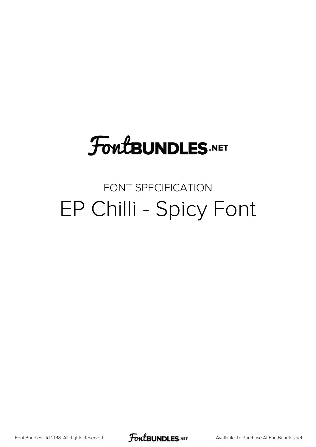# **FoutBUNDLES.NET**

#### FONT SPECIFICATION EP Chilli - Spicy Font

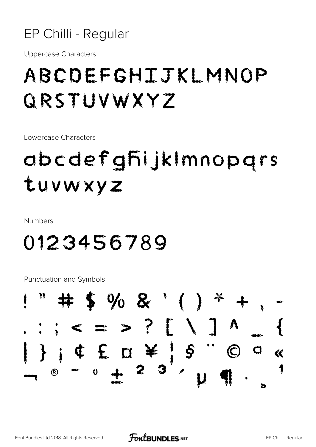

**Uppercase Characters** 

## ABCDEFGHIJKLMNOP GRSTUVWXYZ

Lowercase Characters

## abcdefghijkImnopgrs tuvwxyz

**Numbers** 

### 0123456789

**Punctuation and Symbols** 

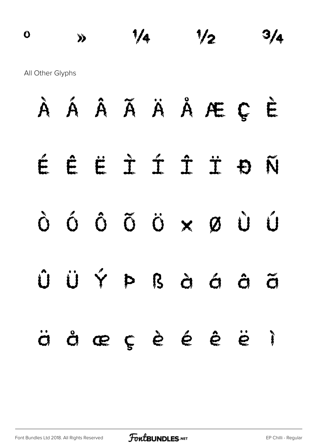$\frac{0}{3}$   $\frac{1}{4}$   $\frac{1}{2}$   $\frac{3}{4}$ All Other Glyphs

|  |  |  | À Á Â Ã Ä Ä Å Æ Ç È |  |
|--|--|--|---------------------|--|
|  |  |  | ÉÊËÎÎÎĐÑ            |  |
|  |  |  | Ò Ó Ô Õ Ö X Ø Ù Ó   |  |
|  |  |  | ÛÜÝÞßàáãã           |  |
|  |  |  | äåæçèéêë ì          |  |